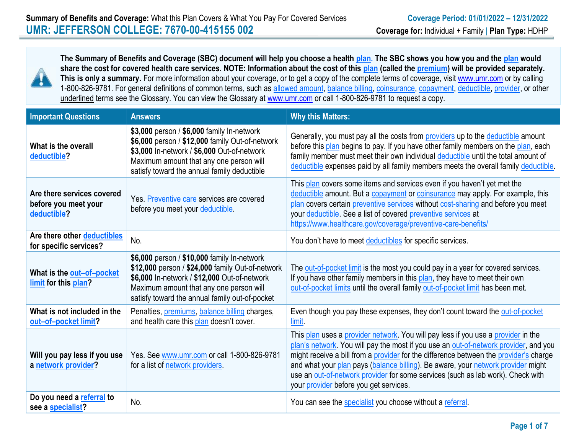

**The Summary of Benefits and Coverage (SBC) document will help you choose a health plan. The SBC shows you how you and the plan would share the cost for covered health care services. NOTE: Information about the cost of this plan (called the premium) will be provided separately.**  This is only a summary. For more information about your coverage, or to get a copy of the complete terms of coverage, visit [www.umr.com](http://www.umr.com/) or by calling 1-800-826-9781. For general definitions of common terms, such as allowed amount, balance billing, coinsurance, copayment, deductible, provider, or other underlined terms see the Glossary. You can view the Glossary at [www.umr.com](http://www.umr.com/) or call 1-800-826-9781 to request a copy.

| <b>Important Questions</b>                                        | <b>Answers</b>                                                                                                                                                                                                                               | <b>Why this Matters:</b>                                                                                                                                                                                                                                                                                                                                                                                                                                                            |
|-------------------------------------------------------------------|----------------------------------------------------------------------------------------------------------------------------------------------------------------------------------------------------------------------------------------------|-------------------------------------------------------------------------------------------------------------------------------------------------------------------------------------------------------------------------------------------------------------------------------------------------------------------------------------------------------------------------------------------------------------------------------------------------------------------------------------|
| What is the overall<br>deductible?                                | \$3,000 person / \$6,000 family In-network<br>\$6,000 person / \$12,000 family Out-of-network<br>\$3,000 In-network / \$6,000 Out-of-network<br>Maximum amount that any one person will<br>satisfy toward the annual family deductible       | Generally, you must pay all the costs from providers up to the deductible amount<br>before this plan begins to pay. If you have other family members on the plan, each<br>family member must meet their own individual deductible until the total amount of<br>deductible expenses paid by all family members meets the overall family deductible.                                                                                                                                  |
| Are there services covered<br>before you meet your<br>deductible? | Yes. Preventive care services are covered<br>before you meet your deductible.                                                                                                                                                                | This plan covers some items and services even if you haven't yet met the<br>deductible amount. But a copayment or coinsurance may apply. For example, this<br>plan covers certain preventive services without cost-sharing and before you meet<br>your deductible. See a list of covered preventive services at<br>https://www.healthcare.gov/coverage/preventive-care-benefits/                                                                                                    |
| Are there other deductibles<br>for specific services?             | No.                                                                                                                                                                                                                                          | You don't have to meet deductibles for specific services.                                                                                                                                                                                                                                                                                                                                                                                                                           |
| What is the out-of-pocket<br>limit for this plan?                 | \$6,000 person / \$10,000 family In-network<br>\$12,000 person / \$24,000 family Out-of-network<br>\$6,000 In-network / \$12,000 Out-of-network<br>Maximum amount that any one person will<br>satisfy toward the annual family out-of-pocket | The out-of-pocket limit is the most you could pay in a year for covered services.<br>If you have other family members in this plan, they have to meet their own<br>out-of-pocket limits until the overall family out-of-pocket limit has been met.                                                                                                                                                                                                                                  |
| What is not included in the<br>out-of-pocket limit?               | Penalties, <i>premiums</i> , <i>balance billing</i> charges,<br>and health care this plan doesn't cover.                                                                                                                                     | Even though you pay these expenses, they don't count toward the out-of-pocket<br>limit.                                                                                                                                                                                                                                                                                                                                                                                             |
| Will you pay less if you use<br>a network provider?               | Yes. See www.umr.com or call 1-800-826-9781<br>for a list of network providers.                                                                                                                                                              | This plan uses a provider network. You will pay less if you use a provider in the<br>plan's network. You will pay the most if you use an out-of-network provider, and you<br>might receive a bill from a provider for the difference between the provider's charge<br>and what your plan pays (balance billing). Be aware, your network provider might<br>use an out-of-network provider for some services (such as lab work). Check with<br>your provider before you get services. |
| Do you need a referral to<br>see a specialist?                    | No.                                                                                                                                                                                                                                          | You can see the specialist you choose without a referral.                                                                                                                                                                                                                                                                                                                                                                                                                           |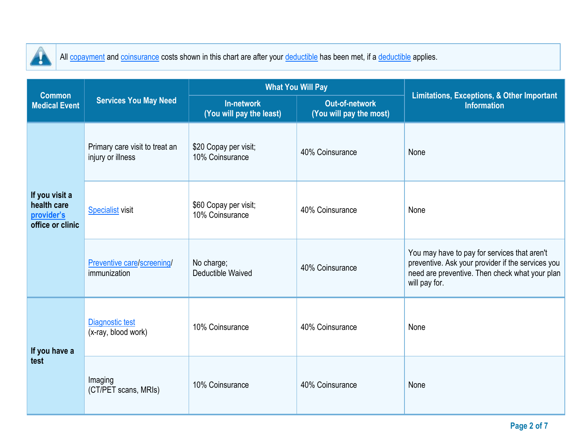

I

All copayment and coinsurance costs shown in this chart are after your deductible has been met, if a deductible applies.

| <b>Common</b>                                                   |                                                     |                                          | <b>What You Will Pay</b>                         | Limitations, Exceptions, & Other Important<br><b>Information</b>                                                                                                     |  |
|-----------------------------------------------------------------|-----------------------------------------------------|------------------------------------------|--------------------------------------------------|----------------------------------------------------------------------------------------------------------------------------------------------------------------------|--|
| <b>Medical Event</b>                                            | <b>Services You May Need</b>                        | In-network<br>(You will pay the least)   | <b>Out-of-network</b><br>(You will pay the most) |                                                                                                                                                                      |  |
| If you visit a<br>health care<br>provider's<br>office or clinic | Primary care visit to treat an<br>injury or illness | \$20 Copay per visit;<br>10% Coinsurance | 40% Coinsurance                                  | None                                                                                                                                                                 |  |
|                                                                 | <b>Specialist</b> visit                             | \$60 Copay per visit;<br>10% Coinsurance | 40% Coinsurance                                  | None                                                                                                                                                                 |  |
|                                                                 | Preventive care/screening/<br>immunization          | No charge;<br>Deductible Waived          | 40% Coinsurance                                  | You may have to pay for services that aren't<br>preventive. Ask your provider if the services you<br>need are preventive. Then check what your plan<br>will pay for. |  |
| If you have a<br>test                                           | Diagnostic test<br>(x-ray, blood work)              | 10% Coinsurance                          | 40% Coinsurance                                  | None                                                                                                                                                                 |  |
|                                                                 | Imaging<br>(CT/PET scans, MRIs)                     | 10% Coinsurance                          | 40% Coinsurance                                  | None                                                                                                                                                                 |  |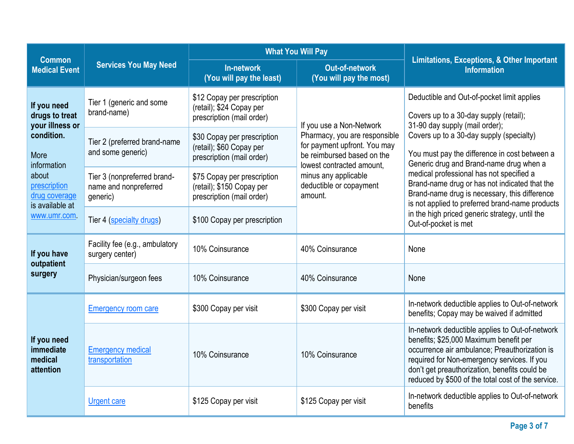| <b>Common</b>                                             |                                                                              | <b>What You Will Pay</b>                                                              |                                                                                                                          | <b>Limitations, Exceptions, &amp; Other Important</b><br><b>Information</b>                                                                                                                                                                                                                                                           |  |
|-----------------------------------------------------------|------------------------------------------------------------------------------|---------------------------------------------------------------------------------------|--------------------------------------------------------------------------------------------------------------------------|---------------------------------------------------------------------------------------------------------------------------------------------------------------------------------------------------------------------------------------------------------------------------------------------------------------------------------------|--|
| <b>Medical Event</b>                                      | <b>Services You May Need</b>                                                 | In-network<br>(You will pay the least)                                                | <b>Out-of-network</b><br>(You will pay the most)                                                                         |                                                                                                                                                                                                                                                                                                                                       |  |
| If you need<br>drugs to treat<br>your illness or          | Tier 1 (generic and some<br>brand-name)                                      | \$12 Copay per prescription<br>(retail); \$24 Copay per<br>prescription (mail order)  | If you use a Non-Network                                                                                                 | Deductible and Out-of-pocket limit applies<br>Covers up to a 30-day supply (retail);<br>31-90 day supply (mail order);                                                                                                                                                                                                                |  |
| condition.<br>More<br>information                         | Tier 2 (preferred brand-name<br>and some generic)                            | \$30 Copay per prescription<br>(retail); \$60 Copay per<br>prescription (mail order)  | Pharmacy, you are responsible<br>for payment upfront. You may<br>be reimbursed based on the<br>lowest contracted amount. | Covers up to a 30-day supply (specialty)<br>You must pay the difference in cost between a<br>Generic drug and Brand-name drug when a<br>medical professional has not specified a<br>Brand-name drug or has not indicated that the<br>Brand-name drug is necessary, this difference<br>is not applied to preferred brand-name products |  |
| about<br>prescription<br>drug coverage<br>is available at | Tier 3 (nonpreferred brand-<br>name and nonpreferred<br>generic)             | \$75 Copay per prescription<br>(retail); \$150 Copay per<br>prescription (mail order) | minus any applicable<br>deductible or copayment<br>amount.                                                               |                                                                                                                                                                                                                                                                                                                                       |  |
| www.umr.com.                                              | Tier 4 (specialty drugs)                                                     | \$100 Copay per prescription                                                          |                                                                                                                          | in the high priced generic strategy, until the<br>Out-of-pocket is met                                                                                                                                                                                                                                                                |  |
| If you have                                               | Facility fee (e.g., ambulatory<br>surgery center)                            | 10% Coinsurance                                                                       | 40% Coinsurance                                                                                                          | None                                                                                                                                                                                                                                                                                                                                  |  |
| outpatient<br>surgery                                     | Physician/surgeon fees                                                       | 10% Coinsurance                                                                       | 40% Coinsurance                                                                                                          | None                                                                                                                                                                                                                                                                                                                                  |  |
|                                                           | \$300 Copay per visit<br>\$300 Copay per visit<br><b>Emergency room care</b> |                                                                                       |                                                                                                                          | In-network deductible applies to Out-of-network<br>benefits; Copay may be waived if admitted                                                                                                                                                                                                                                          |  |
| If you need<br>immediate<br>medical<br>attention          | <b>Emergency medical</b><br>transportation                                   | 10% Coinsurance                                                                       | 10% Coinsurance                                                                                                          | In-network deductible applies to Out-of-network<br>benefits; \$25,000 Maximum benefit per<br>occurrence air ambulance; Preauthorization is<br>required for Non-emergency services. If you<br>don't get preauthorization, benefits could be<br>reduced by \$500 of the total cost of the service.                                      |  |
|                                                           | <b>Urgent care</b>                                                           | \$125 Copay per visit                                                                 | \$125 Copay per visit                                                                                                    | In-network deductible applies to Out-of-network<br>benefits                                                                                                                                                                                                                                                                           |  |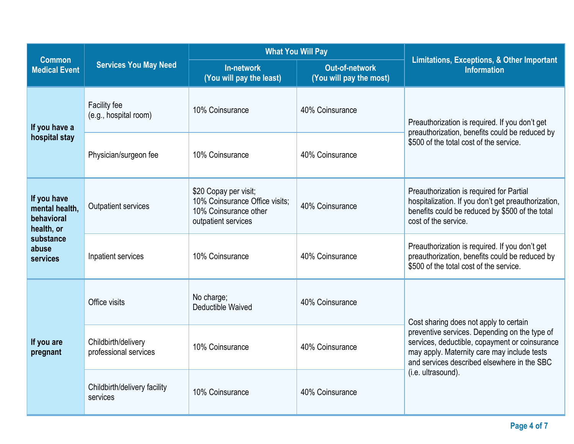|                                                                                             |                                              |                                                                                                         | <b>What You Will Pay</b>                         |                                                                                                                                                                                                                                                               |  |
|---------------------------------------------------------------------------------------------|----------------------------------------------|---------------------------------------------------------------------------------------------------------|--------------------------------------------------|---------------------------------------------------------------------------------------------------------------------------------------------------------------------------------------------------------------------------------------------------------------|--|
| <b>Common</b><br><b>Medical Event</b>                                                       | <b>Services You May Need</b>                 | In-network<br>(You will pay the least)                                                                  | <b>Out-of-network</b><br>(You will pay the most) | <b>Limitations, Exceptions, &amp; Other Important</b><br><b>Information</b>                                                                                                                                                                                   |  |
| If you have a                                                                               | Facility fee<br>(e.g., hospital room)        | 10% Coinsurance                                                                                         | 40% Coinsurance                                  | Preauthorization is required. If you don't get<br>preauthorization, benefits could be reduced by<br>\$500 of the total cost of the service.                                                                                                                   |  |
| hospital stay                                                                               | Physician/surgeon fee                        | 10% Coinsurance                                                                                         | 40% Coinsurance                                  |                                                                                                                                                                                                                                                               |  |
| If you have<br>mental health,<br>behavioral<br>health, or<br>substance<br>abuse<br>services | <b>Outpatient services</b>                   | \$20 Copay per visit;<br>10% Coinsurance Office visits;<br>10% Coinsurance other<br>outpatient services | 40% Coinsurance                                  | Preauthorization is required for Partial<br>hospitalization. If you don't get preauthorization,<br>benefits could be reduced by \$500 of the total<br>cost of the service.                                                                                    |  |
|                                                                                             | Inpatient services                           | 10% Coinsurance                                                                                         | 40% Coinsurance                                  | Preauthorization is required. If you don't get<br>preauthorization, benefits could be reduced by<br>\$500 of the total cost of the service.                                                                                                                   |  |
|                                                                                             | Office visits                                | No charge;<br>Deductible Waived                                                                         | 40% Coinsurance                                  | Cost sharing does not apply to certain<br>preventive services. Depending on the type of<br>services, deductible, copayment or coinsurance<br>may apply. Maternity care may include tests<br>and services described elsewhere in the SBC<br>(i.e. ultrasound). |  |
| If you are<br>pregnant                                                                      | Childbirth/delivery<br>professional services | 10% Coinsurance                                                                                         | 40% Coinsurance                                  |                                                                                                                                                                                                                                                               |  |
|                                                                                             | Childbirth/delivery facility<br>services     | 10% Coinsurance                                                                                         | 40% Coinsurance                                  |                                                                                                                                                                                                                                                               |  |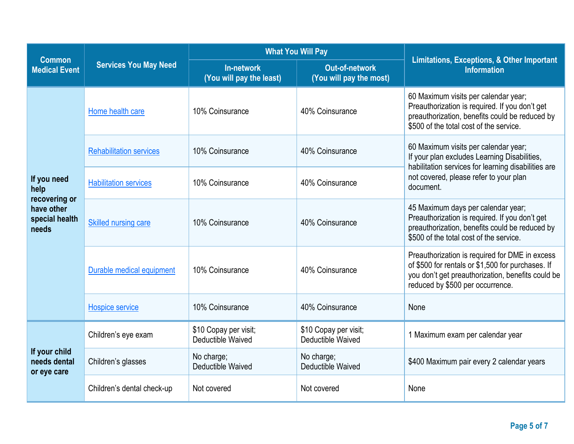|                                                        |                                | <b>What You Will Pay</b>                   |                                            |                                                                                                                                                                                                    |  |
|--------------------------------------------------------|--------------------------------|--------------------------------------------|--------------------------------------------|----------------------------------------------------------------------------------------------------------------------------------------------------------------------------------------------------|--|
| <b>Common</b><br><b>Medical Event</b>                  | <b>Services You May Need</b>   | In-network<br>(You will pay the least)     | Out-of-network<br>(You will pay the most)  | <b>Limitations, Exceptions, &amp; Other Important</b><br><b>Information</b>                                                                                                                        |  |
|                                                        | Home health care               | 10% Coinsurance                            | 40% Coinsurance                            | 60 Maximum visits per calendar year;<br>Preauthorization is required. If you don't get<br>preauthorization, benefits could be reduced by<br>\$500 of the total cost of the service.                |  |
|                                                        | <b>Rehabilitation services</b> | 10% Coinsurance                            | 40% Coinsurance                            | 60 Maximum visits per calendar year;<br>If your plan excludes Learning Disabilities,<br>habilitation services for learning disabilities are<br>not covered, please refer to your plan<br>document. |  |
| If you need<br>help                                    | <b>Habilitation services</b>   | 10% Coinsurance                            | 40% Coinsurance                            |                                                                                                                                                                                                    |  |
| recovering or<br>have other<br>special health<br>needs | Skilled nursing care           | 10% Coinsurance                            | 40% Coinsurance                            | 45 Maximum days per calendar year;<br>Preauthorization is required. If you don't get<br>preauthorization, benefits could be reduced by<br>\$500 of the total cost of the service.                  |  |
|                                                        | Durable medical equipment      | 10% Coinsurance                            | 40% Coinsurance                            | Preauthorization is required for DME in excess<br>of \$500 for rentals or \$1,500 for purchases. If<br>you don't get preauthorization, benefits could be<br>reduced by \$500 per occurrence.       |  |
|                                                        | Hospice service                | 10% Coinsurance                            | 40% Coinsurance                            | None                                                                                                                                                                                               |  |
|                                                        | Children's eye exam            | \$10 Copay per visit;<br>Deductible Waived | \$10 Copay per visit;<br>Deductible Waived | 1 Maximum exam per calendar year                                                                                                                                                                   |  |
| If your child<br>needs dental<br>or eye care           | Children's glasses             | No charge;<br>Deductible Waived            | No charge;<br>Deductible Waived            | \$400 Maximum pair every 2 calendar years                                                                                                                                                          |  |
|                                                        | Children's dental check-up     | Not covered                                | Not covered                                | None                                                                                                                                                                                               |  |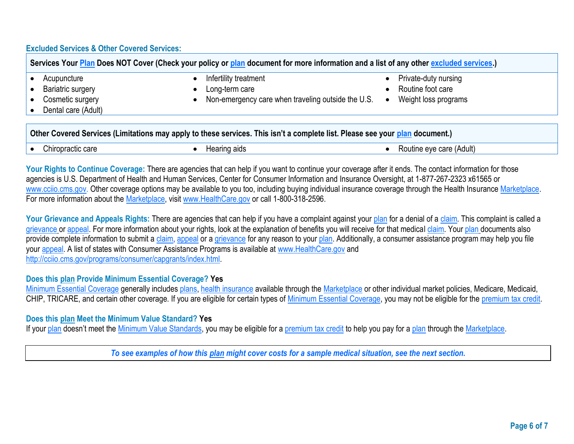## **Excluded Services & Other Covered Services:**

| Services Your Plan Does NOT Cover (Check your policy or plan document for more information and a list of any other excluded services.) |                                                    |                      |  |  |
|----------------------------------------------------------------------------------------------------------------------------------------|----------------------------------------------------|----------------------|--|--|
| Acupuncture                                                                                                                            | Infertility treatment                              | Private-duty nursing |  |  |
| <b>Bariatric surgery</b>                                                                                                               | Long-term care                                     | Routine foot care    |  |  |
| Cosmetic surgery                                                                                                                       | Non-emergency care when traveling outside the U.S. | Weight loss programs |  |  |
| Dental care (Adult)                                                                                                                    |                                                    |                      |  |  |
|                                                                                                                                        |                                                    |                      |  |  |
|                                                                                                                                        |                                                    |                      |  |  |

|                   | Other Covered Services (Limitations may apply to these services. This isn't a complete list. Please see your plan document.) |                          |
|-------------------|------------------------------------------------------------------------------------------------------------------------------|--------------------------|
| Chiropractic care | Hearing aids                                                                                                                 | Routine eye care (Adult) |

Your Rights to Continue Coverage: There are agencies that can help if you want to continue your coverage after it ends. The contact information for those agencies is U.S. Department of Health and Human Services, Center for Consumer Information and Insurance Oversight, at 1-877-267-2323 x61565 or [www.cciio.cms.gov.](http://www.cciio.cms.gov/) Other coverage options may be available to you too, including buying individual insurance coverage through the Health Insurance Marketplace. For more information about the Marketplace, visit [www.HealthCare.gov](http://www.healthcare.gov/) or call 1-800-318-2596.

Your Grievance and Appeals Rights: There are agencies that can help if you have a complaint against your plan for a denial of a claim. This complaint is called a grievance or appeal. For more information about your rights, look at the explanation of benefits you will receive for that medical claim. Your plan documents also provide complete information to submit a claim, appeal or a grievance for any reason to your plan. Additionally, a consumer assistance program may help you file your appeal. A list of states with Consumer Assistance Programs is available at [www.HealthCare.gov](http://www.healthcare.gov/) and http://cciio.cms.gov/programs/consumer/capgrants/index.html

## **Does this plan Provide Minimum Essential Coverage? Yes**

Minimum Essential Coverage generally includes plans, health insurance available through the Marketplace or other individual market policies, Medicare, Medicaid, CHIP, TRICARE, and certain other coverage. If you are eligible for certain types of Minimum Essential Coverage, you may not be eligible for the premium tax credit.

## **Does this plan Meet the Minimum Value Standard? Yes**

If your plan doesn't meet the Minimum Value Standards, you may be eligible for a premium tax credit to help you pay for a plan through the Marketplace.

*To see examples of how this plan might cover costs for a sample medical situation, see the next section.*